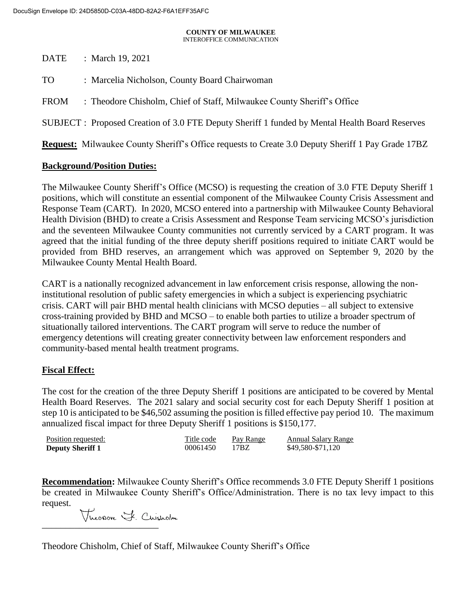# **COUNTY OF MILWAUKEE**

INTEROFFICE COMMUNICATION

DATE : March 19, 2021

TO : Marcelia Nicholson, County Board Chairwoman

FROM : Theodore Chisholm, Chief of Staff, Milwaukee County Sheriff's Office

SUBJECT : Proposed Creation of 3.0 FTE Deputy Sheriff 1 funded by Mental Health Board Reserves

**Request:** Milwaukee County Sheriff's Office requests to Create 3.0 Deputy Sheriff 1 Pay Grade 17BZ

#### **Background/Position Duties:**

The Milwaukee County Sheriff's Office (MCSO) is requesting the creation of 3.0 FTE Deputy Sheriff 1 positions, which will constitute an essential component of the Milwaukee County Crisis Assessment and Response Team (CART). In 2020, MCSO entered into a partnership with Milwaukee County Behavioral Health Division (BHD) to create a Crisis Assessment and Response Team servicing MCSO's jurisdiction and the seventeen Milwaukee County communities not currently serviced by a CART program. It was agreed that the initial funding of the three deputy sheriff positions required to initiate CART would be provided from BHD reserves, an arrangement which was approved on September 9, 2020 by the Milwaukee County Mental Health Board.

CART is a nationally recognized advancement in law enforcement crisis response, allowing the noninstitutional resolution of public safety emergencies in which a subject is experiencing psychiatric crisis. CART will pair BHD mental health clinicians with MCSO deputies – all subject to extensive cross-training provided by BHD and MCSO – to enable both parties to utilize a broader spectrum of situationally tailored interventions. The CART program will serve to reduce the number of emergency detentions will creating greater connectivity between law enforcement responders and community-based mental health treatment programs.

## **Fiscal Effect:**

The cost for the creation of the three Deputy Sheriff 1 positions are anticipated to be covered by Mental Health Board Reserves. The 2021 salary and social security cost for each Deputy Sheriff 1 position at step 10 is anticipated to be \$46,502 assuming the position is filled effective pay period 10. The maximum annualized fiscal impact for three Deputy Sheriff 1 positions is \$150,177.

| Position requested:     | Title code | Pay Range | Annual Salary Range |
|-------------------------|------------|-----------|---------------------|
| <b>Deputy Sheriff 1</b> | 00061450   | 17BZ      | \$49,580-\$71,120   |

**Recommendation:** Milwaukee County Sheriff's Office recommends 3.0 FTE Deputy Sheriff 1 positions be created in Milwaukee County Sheriff's Office/Administration. There is no tax levy impact to this request.

Theonove F. Cuisholm

Theodore Chisholm, Chief of Staff, Milwaukee County Sheriff's Office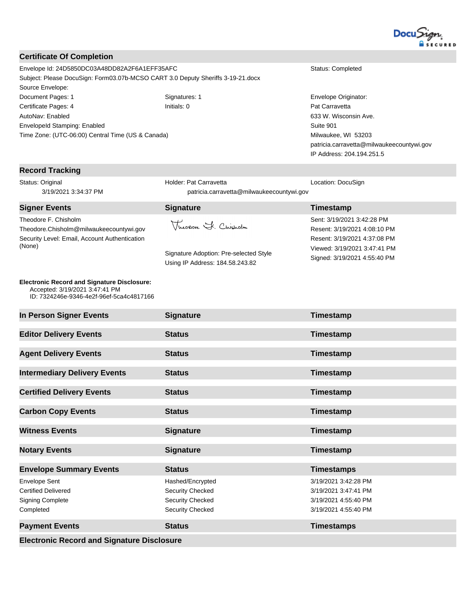

#### **Certificate Of Completion**

Envelope Id: 24D5850DC03A48DD82A2F6A1EFF35AFC Status: Completed Subject: Please DocuSign: Form03.07b-MCSO CART 3.0 Deputy Sheriffs 3-19-21.docx Source Envelope: Document Pages: 1 Signatures: 1 Signatures: 1 Envelope Originator: Certificate Pages: 4 **Initials: 0 Initials: 0** Pat Carravetta AutoNav: Enabled EnvelopeId Stamping: Enabled Time Zone: (UTC-06:00) Central Time (US & Canada)

633 W. Wisconsin Ave. Suite 901 Milwaukee, WI 53203 patricia.carravetta@milwaukeecountywi.gov IP Address: 204.194.251.5

| <b>Record Tracking</b>                                                                                                           |                                                                                                   |                                                                                                                                                            |
|----------------------------------------------------------------------------------------------------------------------------------|---------------------------------------------------------------------------------------------------|------------------------------------------------------------------------------------------------------------------------------------------------------------|
| Status: Original<br>3/19/2021 3:34:37 PM                                                                                         | Holder: Pat Carravetta<br>patricia.carravetta@milwaukeecountywi.gov                               | Location: DocuSign                                                                                                                                         |
| <b>Signer Events</b>                                                                                                             | <b>Signature</b>                                                                                  | Timestamp                                                                                                                                                  |
| Theodore F. Chisholm<br>Theodore.Chisholm@milwaukeecountywi.gov<br>Security Level: Email, Account Authentication<br>(None)       | Theorone F. Chisholm<br>Signature Adoption: Pre-selected Style<br>Using IP Address: 184.58.243.82 | Sent: 3/19/2021 3:42:28 PM<br>Resent: 3/19/2021 4:08:10 PM<br>Resent: 3/19/2021 4:37:08 PM<br>Viewed: 3/19/2021 3:47:41 PM<br>Signed: 3/19/2021 4:55:40 PM |
| <b>Electronic Record and Signature Disclosure:</b><br>Accepted: 3/19/2021 3:47:41 PM<br>ID: 7324246e-9346-4e2f-96ef-5ca4c4817166 |                                                                                                   |                                                                                                                                                            |
| In Person Signer Events                                                                                                          | <b>Signature</b>                                                                                  | Timestamp                                                                                                                                                  |
| <b>Editor Delivery Events</b>                                                                                                    | <b>Status</b>                                                                                     | Timestamp                                                                                                                                                  |
| <b>Agent Delivery Events</b>                                                                                                     | <b>Status</b>                                                                                     | Timestamp                                                                                                                                                  |
| <b>Intermediary Delivery Events</b>                                                                                              | <b>Status</b>                                                                                     | Timestamp                                                                                                                                                  |
| <b>Certified Delivery Events</b>                                                                                                 | <b>Status</b>                                                                                     | Timestamp                                                                                                                                                  |
| <b>Carbon Copy Events</b>                                                                                                        | <b>Status</b>                                                                                     | Timestamp                                                                                                                                                  |
| <b>Witness Events</b>                                                                                                            | <b>Signature</b>                                                                                  | Timestamp                                                                                                                                                  |
| <b>Notary Events</b>                                                                                                             | <b>Signature</b>                                                                                  | Timestamp                                                                                                                                                  |
| <b>Envelope Summary Events</b>                                                                                                   | <b>Status</b>                                                                                     | <b>Timestamps</b>                                                                                                                                          |
| <b>Envelope Sent</b><br><b>Certified Delivered</b><br><b>Signing Complete</b><br>Completed                                       | Hashed/Encrypted<br><b>Security Checked</b><br><b>Security Checked</b><br><b>Security Checked</b> | 3/19/2021 3:42:28 PM<br>3/19/2021 3:47:41 PM<br>3/19/2021 4:55:40 PM<br>3/19/2021 4:55:40 PM                                                               |
| <b>Payment Events</b>                                                                                                            | <b>Status</b>                                                                                     | <b>Timestamps</b>                                                                                                                                          |
| <b>Electronic Record and Signature Disclosure</b>                                                                                |                                                                                                   |                                                                                                                                                            |
|                                                                                                                                  |                                                                                                   |                                                                                                                                                            |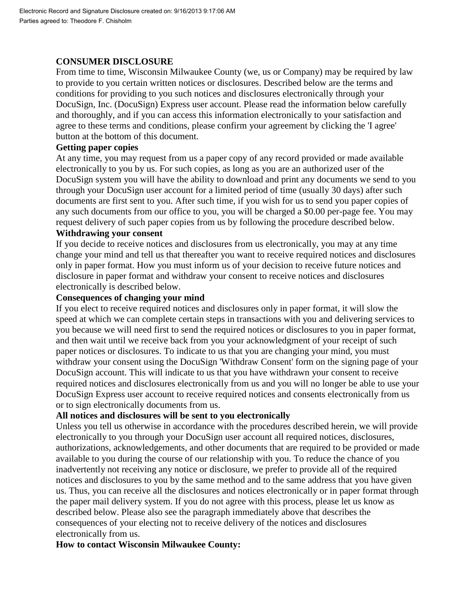## **CONSUMER DISCLOSURE**

From time to time, Wisconsin Milwaukee County (we, us or Company) may be required by law to provide to you certain written notices or disclosures. Described below are the terms and conditions for providing to you such notices and disclosures electronically through your DocuSign, Inc. (DocuSign) Express user account. Please read the information below carefully and thoroughly, and if you can access this information electronically to your satisfaction and agree to these terms and conditions, please confirm your agreement by clicking the 'I agree' button at the bottom of this document.

## **Getting paper copies**

At any time, you may request from us a paper copy of any record provided or made available electronically to you by us. For such copies, as long as you are an authorized user of the DocuSign system you will have the ability to download and print any documents we send to you through your DocuSign user account for a limited period of time (usually 30 days) after such documents are first sent to you. After such time, if you wish for us to send you paper copies of any such documents from our office to you, you will be charged a \$0.00 per-page fee. You may request delivery of such paper copies from us by following the procedure described below.

## **Withdrawing your consent**

If you decide to receive notices and disclosures from us electronically, you may at any time change your mind and tell us that thereafter you want to receive required notices and disclosures only in paper format. How you must inform us of your decision to receive future notices and disclosure in paper format and withdraw your consent to receive notices and disclosures electronically is described below.

## **Consequences of changing your mind**

If you elect to receive required notices and disclosures only in paper format, it will slow the speed at which we can complete certain steps in transactions with you and delivering services to you because we will need first to send the required notices or disclosures to you in paper format, and then wait until we receive back from you your acknowledgment of your receipt of such paper notices or disclosures. To indicate to us that you are changing your mind, you must withdraw your consent using the DocuSign 'Withdraw Consent' form on the signing page of your DocuSign account. This will indicate to us that you have withdrawn your consent to receive required notices and disclosures electronically from us and you will no longer be able to use your DocuSign Express user account to receive required notices and consents electronically from us or to sign electronically documents from us.

## **All notices and disclosures will be sent to you electronically**

Unless you tell us otherwise in accordance with the procedures described herein, we will provide electronically to you through your DocuSign user account all required notices, disclosures, authorizations, acknowledgements, and other documents that are required to be provided or made available to you during the course of our relationship with you. To reduce the chance of you inadvertently not receiving any notice or disclosure, we prefer to provide all of the required notices and disclosures to you by the same method and to the same address that you have given us. Thus, you can receive all the disclosures and notices electronically or in paper format through the paper mail delivery system. If you do not agree with this process, please let us know as described below. Please also see the paragraph immediately above that describes the consequences of your electing not to receive delivery of the notices and disclosures electronically from us.

## **How to contact Wisconsin Milwaukee County:**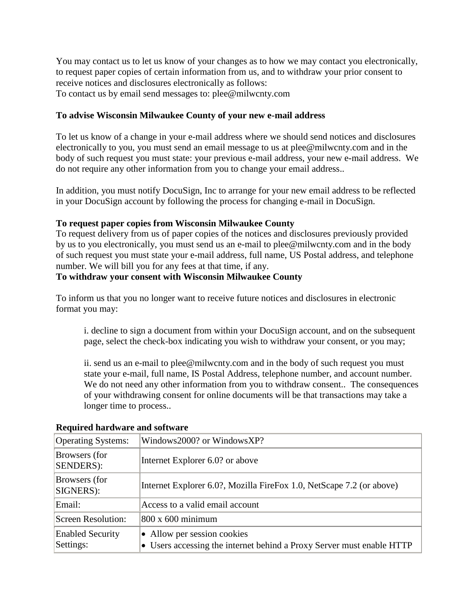You may contact us to let us know of your changes as to how we may contact you electronically, to request paper copies of certain information from us, and to withdraw your prior consent to receive notices and disclosures electronically as follows: To contact us by email send messages to: plee@milwcnty.com

## **To advise Wisconsin Milwaukee County of your new e-mail address**

To let us know of a change in your e-mail address where we should send notices and disclosures electronically to you, you must send an email message to us at plee@milwcnty.com and in the body of such request you must state: your previous e-mail address, your new e-mail address. We do not require any other information from you to change your email address..

In addition, you must notify DocuSign, Inc to arrange for your new email address to be reflected in your DocuSign account by following the process for changing e-mail in DocuSign.

## **To request paper copies from Wisconsin Milwaukee County**

To request delivery from us of paper copies of the notices and disclosures previously provided by us to you electronically, you must send us an e-mail to plee@milwcnty.com and in the body of such request you must state your e-mail address, full name, US Postal address, and telephone number. We will bill you for any fees at that time, if any.

## **To withdraw your consent with Wisconsin Milwaukee County**

To inform us that you no longer want to receive future notices and disclosures in electronic format you may:

i. decline to sign a document from within your DocuSign account, and on the subsequent page, select the check-box indicating you wish to withdraw your consent, or you may;

ii. send us an e-mail to plee@milwcnty.com and in the body of such request you must state your e-mail, full name, IS Postal Address, telephone number, and account number. We do not need any other information from you to withdraw consent.. The consequences of your withdrawing consent for online documents will be that transactions may take a longer time to process..

| <b>Operating Systems:</b>            | Windows2000? or WindowsXP?                                                                           |
|--------------------------------------|------------------------------------------------------------------------------------------------------|
| Browsers (for<br>SENDERS):           | Internet Explorer 6.0? or above                                                                      |
| Browsers (for<br>SIGNERS):           | Internet Explorer 6.0?, Mozilla FireFox 1.0, NetScape 7.2 (or above)                                 |
| Email:                               | Access to a valid email account                                                                      |
| Screen Resolution:                   | $800 \times 600$ minimum                                                                             |
| <b>Enabled Security</b><br>Settings: | • Allow per session cookies<br>• Users accessing the internet behind a Proxy Server must enable HTTP |

## **Required hardware and software**